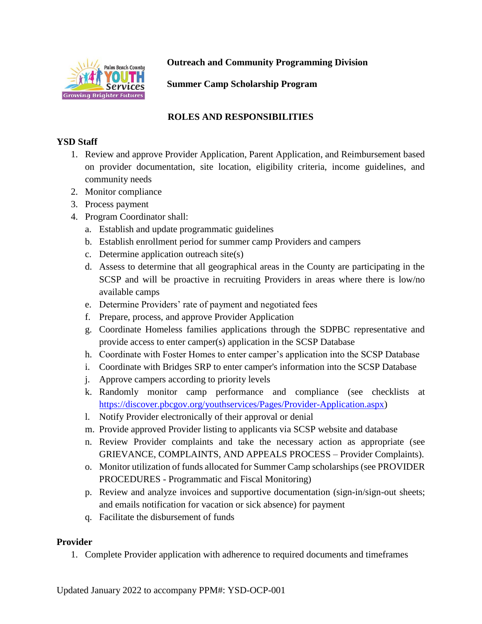

**Outreach and Community Programming Division**

**Summer Camp Scholarship Program**

## **ROLES AND RESPONSIBILITIES**

## **YSD Staff**

- 1. Review and approve Provider Application, Parent Application, and Reimbursement based on provider documentation, site location, eligibility criteria, income guidelines, and community needs
- 2. Monitor compliance
- 3. Process payment
- 4. Program Coordinator shall:
	- a. Establish and update programmatic guidelines
	- b. Establish enrollment period for summer camp Providers and campers
	- c. Determine application outreach site(s)
	- d. Assess to determine that all geographical areas in the County are participating in the SCSP and will be proactive in recruiting Providers in areas where there is low/no available camps
	- e. Determine Providers' rate of payment and negotiated fees
	- f. Prepare, process, and approve Provider Application
	- g. Coordinate Homeless families applications through the SDPBC representative and provide access to enter camper(s) application in the SCSP Database
	- h. Coordinate with Foster Homes to enter camper's application into the SCSP Database
	- i. Coordinate with Bridges SRP to enter camper's information into the SCSP Database
	- j. Approve campers according to priority levels
	- k. Randomly monitor camp performance and compliance (see checklists at [https://discover.pbcgov.org/youthservices/Pages/Provider-Application.aspx\)](https://discover.pbcgov.org/youthservices/Pages/Provider-Application.aspx)
	- l. Notify Provider electronically of their approval or denial
	- m. Provide approved Provider listing to applicants via SCSP website and database
	- n. Review Provider complaints and take the necessary action as appropriate (see GRIEVANCE, COMPLAINTS, AND APPEALS PROCESS – Provider Complaints).
	- o. Monitor utilization of funds allocated for Summer Camp scholarships (see PROVIDER PROCEDURES - Programmatic and Fiscal Monitoring)
	- p. Review and analyze invoices and supportive documentation (sign-in/sign-out sheets; and emails notification for vacation or sick absence) for payment
	- q. Facilitate the disbursement of funds

## **Provider**

1. Complete Provider application with adherence to required documents and timeframes